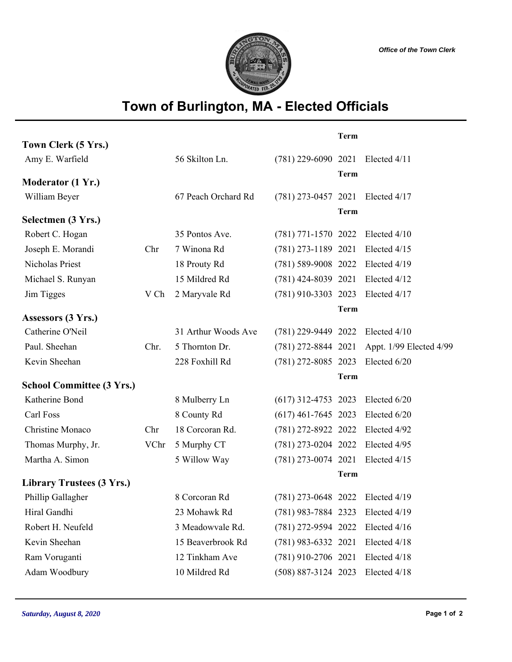

## **Town of Burlington, MA - Elected Officials**

|                                  |      |                     |                         | <b>Term</b> |                         |
|----------------------------------|------|---------------------|-------------------------|-------------|-------------------------|
| Town Clerk (5 Yrs.)              |      |                     |                         |             |                         |
| Amy E. Warfield                  |      | 56 Skilton Ln.      | $(781)$ 229-6090 2021   |             | Elected 4/11            |
| Moderator (1 Yr.)                |      |                     |                         | <b>Term</b> |                         |
| William Beyer                    |      | 67 Peach Orchard Rd | $(781)$ 273-0457 2021   |             | Elected 4/17            |
|                                  |      |                     |                         | <b>Term</b> |                         |
| Selectmen (3 Yrs.)               |      |                     |                         |             |                         |
| Robert C. Hogan                  |      | 35 Pontos Ave.      | $(781)$ 771-1570 2022   |             | Elected 4/10            |
| Joseph E. Morandi                | Chr  | 7 Winona Rd         | $(781)$ 273-1189 2021   |             | Elected 4/15            |
| Nicholas Priest                  |      | 18 Prouty Rd        | (781) 589-9008 2022     |             | Elected 4/19            |
| Michael S. Runyan                |      | 15 Mildred Rd       | $(781)$ 424-8039 2021   |             | Elected 4/12            |
| Jim Tigges                       | V Ch | 2 Maryvale Rd       | $(781)$ 910-3303 2023   |             | Elected 4/17            |
|                                  |      |                     |                         | <b>Term</b> |                         |
| Assessors (3 Yrs.)               |      |                     |                         |             |                         |
| Catherine O'Neil                 |      | 31 Arthur Woods Ave | (781) 229-9449 2022     |             | Elected 4/10            |
| Paul. Sheehan                    | Chr. | 5 Thornton Dr.      | $(781)$ 272-8844 2021   |             | Appt. 1/99 Elected 4/99 |
| Kevin Sheehan                    |      | 228 Foxhill Rd      | $(781)$ 272-8085 2023   |             | Elected 6/20            |
|                                  |      |                     |                         | <b>Term</b> |                         |
| <b>School Committee (3 Yrs.)</b> |      |                     |                         |             |                         |
| Katherine Bond                   |      | 8 Mulberry Ln       | $(617)$ 312-4753 2023   |             | Elected 6/20            |
| Carl Foss                        |      | 8 County Rd         | $(617)$ 461-7645 2023   |             | Elected 6/20            |
| Christine Monaco                 | Chr  | 18 Corcoran Rd.     | (781) 272-8922 2022     |             | Elected 4/92            |
| Thomas Murphy, Jr.               | VChr | 5 Murphy CT         | $(781)$ 273-0204 2022   |             | Elected 4/95            |
| Martha A. Simon                  |      | 5 Willow Way        | $(781)$ 273-0074 2021   |             | Elected 4/15            |
| <b>Library Trustees (3 Yrs.)</b> |      |                     |                         | <b>Term</b> |                         |
|                                  |      |                     |                         |             |                         |
| Phillip Gallagher                |      | 8 Corcoran Rd       | $(781)$ 273-0648 2022   |             | Elected 4/19            |
| Hiral Gandhi                     |      | 23 Mohawk Rd        | $(781)$ 983-7884 2323   |             | Elected 4/19            |
| Robert H. Neufeld                |      | 3 Meadowvale Rd.    | (781) 272-9594 2022     |             | Elected 4/16            |
| Kevin Sheehan                    |      | 15 Beaverbrook Rd   | $(781)$ 983-6332 2021   |             | Elected 4/18            |
| Ram Voruganti                    |      | 12 Tinkham Ave      | $(781)$ 910-2706 2021   |             | Elected 4/18            |
| Adam Woodbury                    |      | 10 Mildred Rd       | $(508) 887 - 3124 2023$ |             | Elected 4/18            |